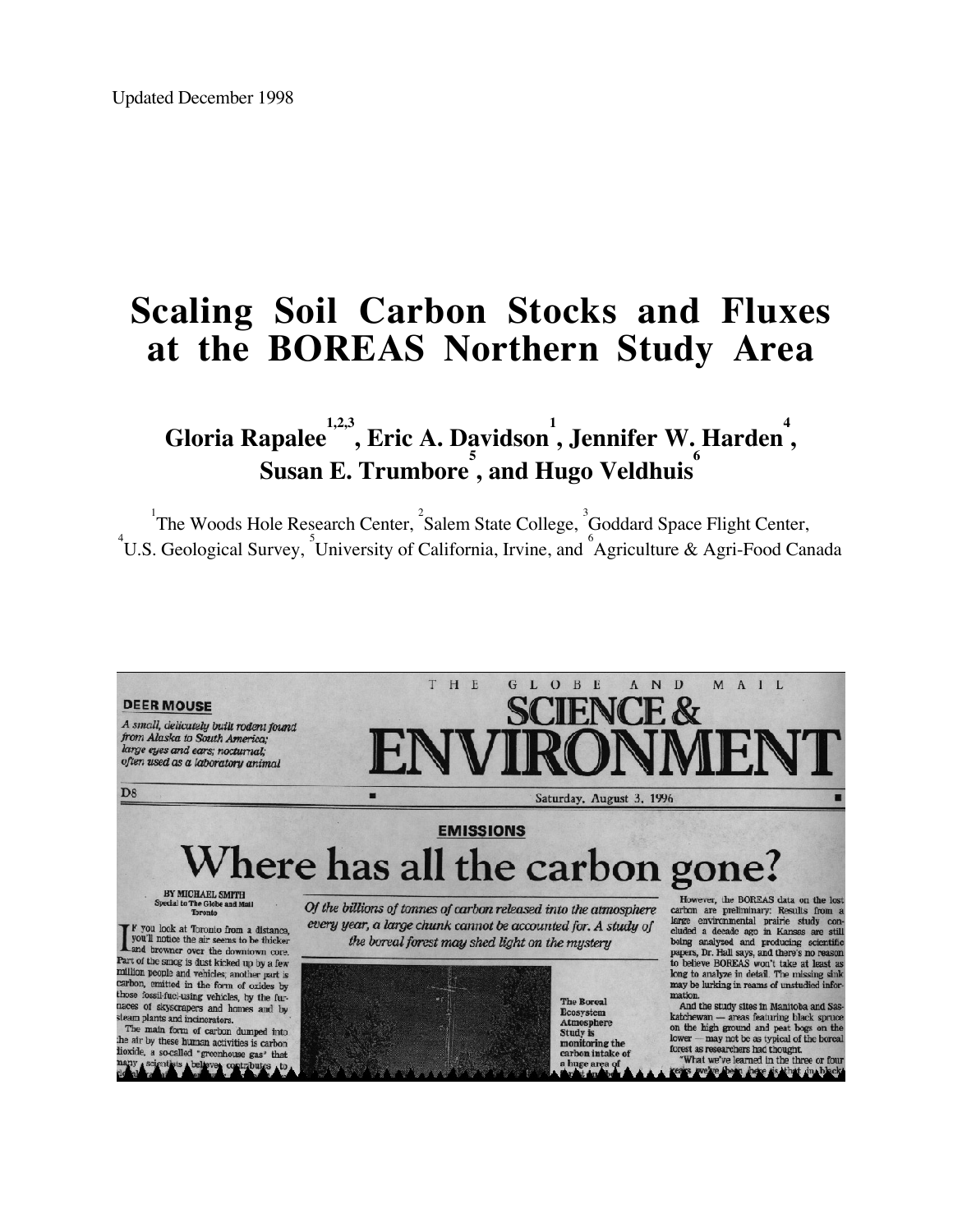# **Scaling Soil Carbon Stocks and Fluxes at the BOREAS Northern Study Area**

 $\mathbf{G}$ loria Rapalee $\overset{1,2,3}{\ldots}, \text{Eric A.}$  Davidson<sup>1</sup>, Jennifer W. Harden<sup>4</sup>, **Susan E. Trumbore 5 , and Hugo Veldhuis 6**

<sup>1</sup>The Woods Hole Research Center, <sup>2</sup>Salem State College, <sup>3</sup>Goddard Space Flight Center, U.S. Geological Survey, University of California, Irvine, and <sup>6</sup>Agriculture & Agri-Food Canada

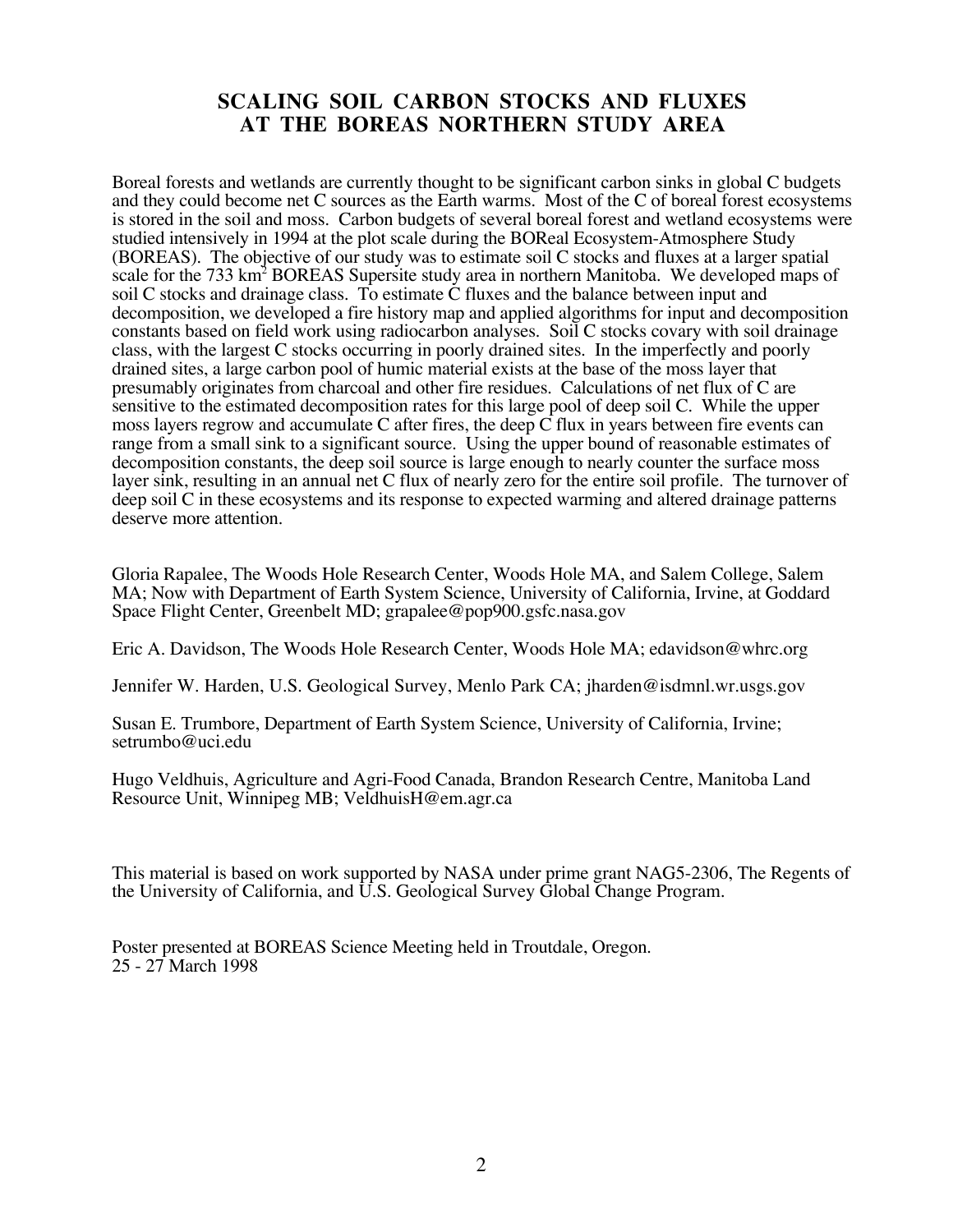#### **SCALING SOIL CARBON STOCKS AND FLUXES AT THE BOREAS NORTHERN STUDY AREA**

Boreal forests and wetlands are currently thought to be significant carbon sinks in global C budgets and they could become net C sources as the Earth warms. Most of the C of boreal forest ecosystems is stored in the soil and moss. Carbon budgets of several boreal forest and wetland ecosystems were studied intensively in 1994 at the plot scale during the BOReal Ecosystem-Atmosphere Study (BOREAS). The objective of our study was to estimate soil C stocks and fluxes at a larger spatial scale for the 733 km<sup>2</sup> BOREAS Supersite study area in northern Manitoba. We developed maps of soil C stocks and drainage class. To estimate C fluxes and the balance between input and decomposition, we developed a fire history map and applied algorithms for input and decomposition constants based on field work using radiocarbon analyses. Soil C stocks covary with soil drainage class, with the largest C stocks occurring in poorly drained sites. In the imperfectly and poorly drained sites, a large carbon pool of humic material exists at the base of the moss layer that presumably originates from charcoal and other fire residues. Calculations of net flux of C are sensitive to the estimated decomposition rates for this large pool of deep soil C. While the upper moss layers regrow and accumulate C after fires, the deep C flux in years between fire events can range from a small sink to a significant source. Using the upper bound of reasonable estimates of decomposition constants, the deep soil source is large enough to nearly counter the surface moss layer sink, resulting in an annual net C flux of nearly zero for the entire soil profile. The turnover of deep soil C in these ecosystems and its response to expected warming and altered drainage patterns deserve more attention.

Gloria Rapalee, The Woods Hole Research Center, Woods Hole MA, and Salem College, Salem MA; Now with Department of Earth System Science, University of California, Irvine, at Goddard Space Flight Center, Greenbelt MD; grapalee@pop900.gsfc.nasa.gov

Eric A. Davidson, The Woods Hole Research Center, Woods Hole MA; edavidson@whrc.org

Jennifer W. Harden, U.S. Geological Survey, Menlo Park CA; jharden@isdmnl.wr.usgs.gov

Susan E. Trumbore, Department of Earth System Science, University of California, Irvine; setrumbo@uci.edu

Hugo Veldhuis, Agriculture and Agri-Food Canada, Brandon Research Centre, Manitoba Land Resource Unit, Winnipeg MB; VeldhuisH@em.agr.ca

This material is based on work supported by NASA under prime grant NAG5-2306, The Regents of the University of California, and U.S. Geological Survey Global Change Program.

Poster presented at BOREAS Science Meeting held in Troutdale, Oregon. 25 - 27 March 1998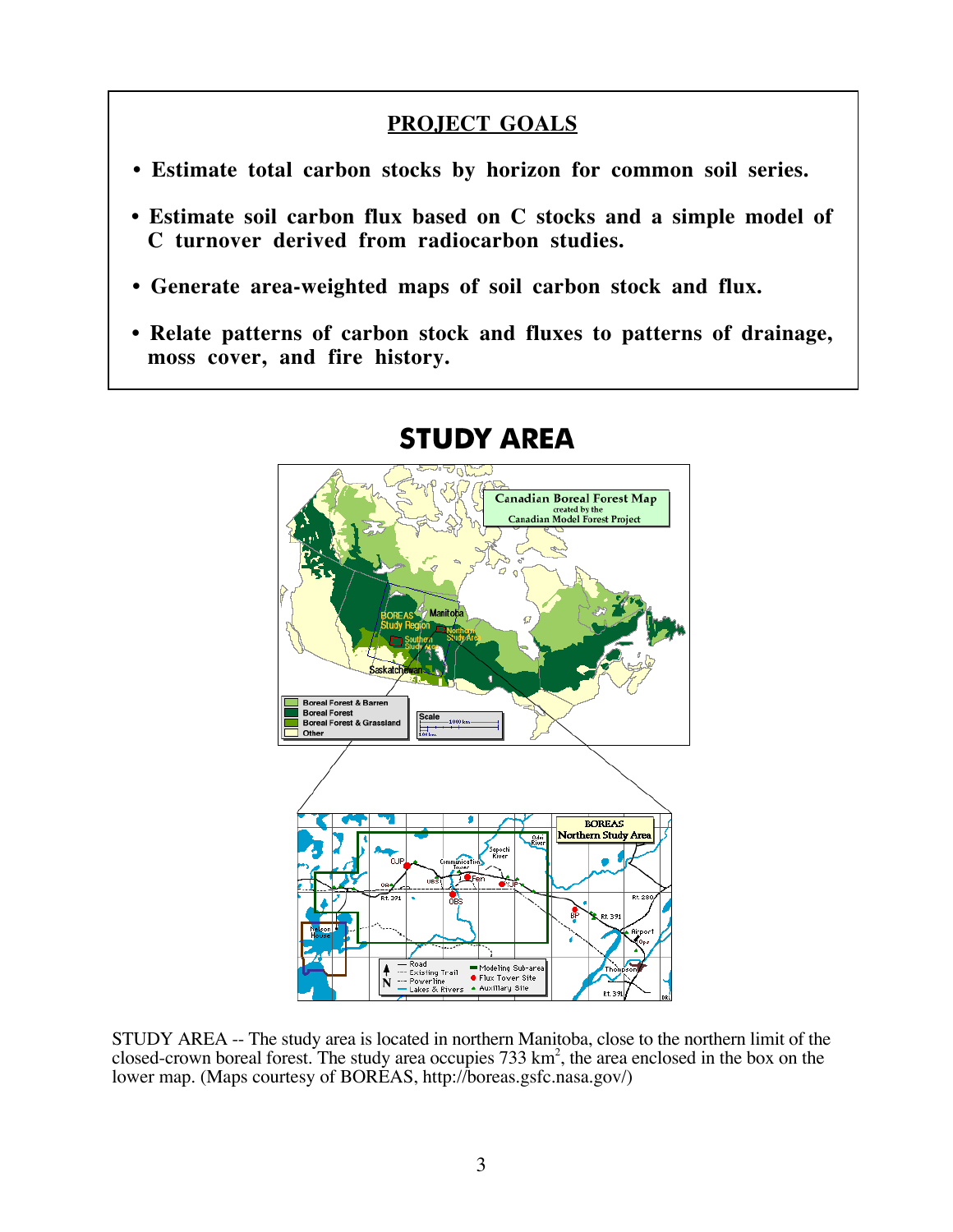#### **PROJECT GOALS**

- **Estimate total carbon stocks by horizon for common soil series.**
- **Estimate soil carbon flux based on C stocks and a simple model of C turnover derived from radiocarbon studies.**
- **Generate area-weighted maps of soil carbon stock and flux.**
- **Relate patterns of carbon stock and fluxes to patterns of drainage, moss cover, and fire history.**



# **STUDY AREA**

STUDY AREA -- The study area is located in northern Manitoba, close to the northern limit of the closed-crown boreal forest. The study area occupies  $733 \text{ km}^2$ , the area enclosed in the box on the lower map. (Maps courtesy of BOREAS, http://boreas.gsfc.nasa.gov/)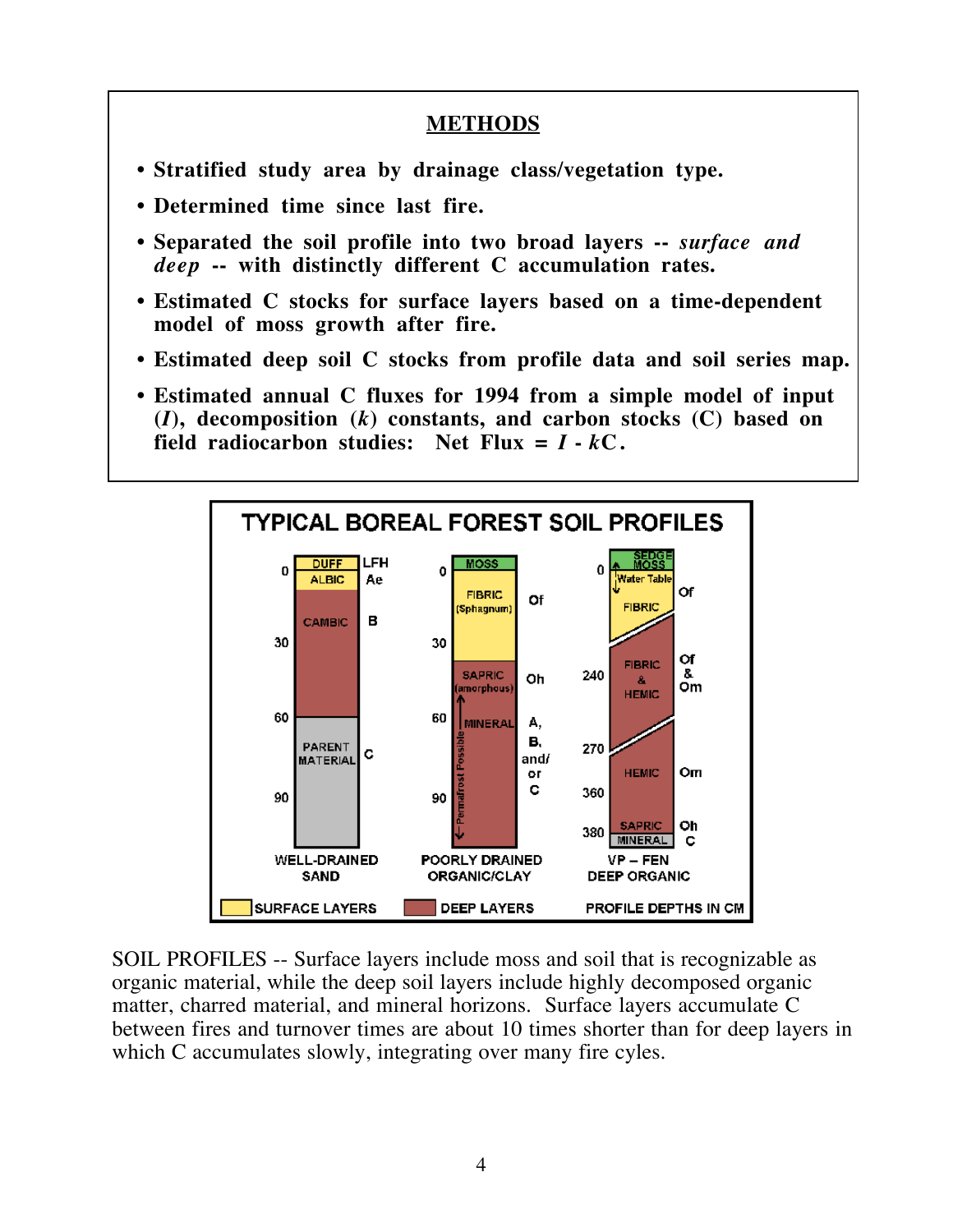#### **METHODS**

- **Stratified study area by drainage class/vegetation type.**
- **Determined time since last fire.**
- **Separated the soil profile into two broad layers --** *surface and deep* **-- with distinctly different C accumulation rates.**
- **Estimated C stocks for surface layers based on a time-dependent model of moss growth after fire.**
- **Estimated deep soil C stocks from profile data and soil series map.**
- **Estimated annual C fluxes for 1994 from a simple model of input (***I***), decomposition (***k***) constants, and carbon stocks (C) based on** field radiocarbon studies: Net Flux  $= I - kC$ .



SOIL PROFILES -- Surface layers include moss and soil that is recognizable as organic material, while the deep soil layers include highly decomposed organic matter, charred material, and mineral horizons. Surface layers accumulate C between fires and turnover times are about 10 times shorter than for deep layers in which C accumulates slowly, integrating over many fire cyles.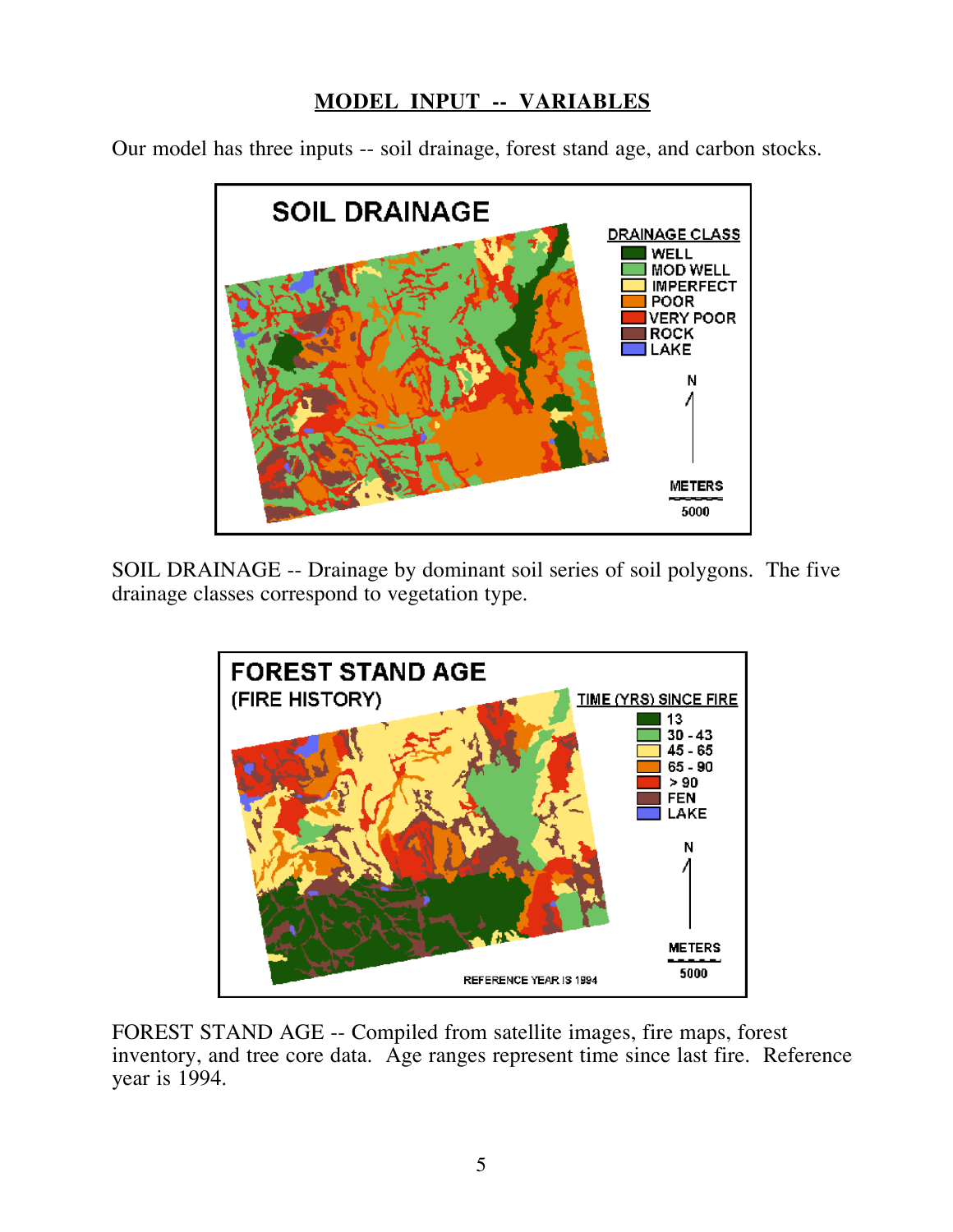## **MODEL INPUT -- VARIABLES**

Our model has three inputs -- soil drainage, forest stand age, and carbon stocks.



SOIL DRAINAGE -- Drainage by dominant soil series of soil polygons. The five drainage classes correspond to vegetation type.



FOREST STAND AGE -- Compiled from satellite images, fire maps, forest inventory, and tree core data. Age ranges represent time since last fire. Reference year is 1994.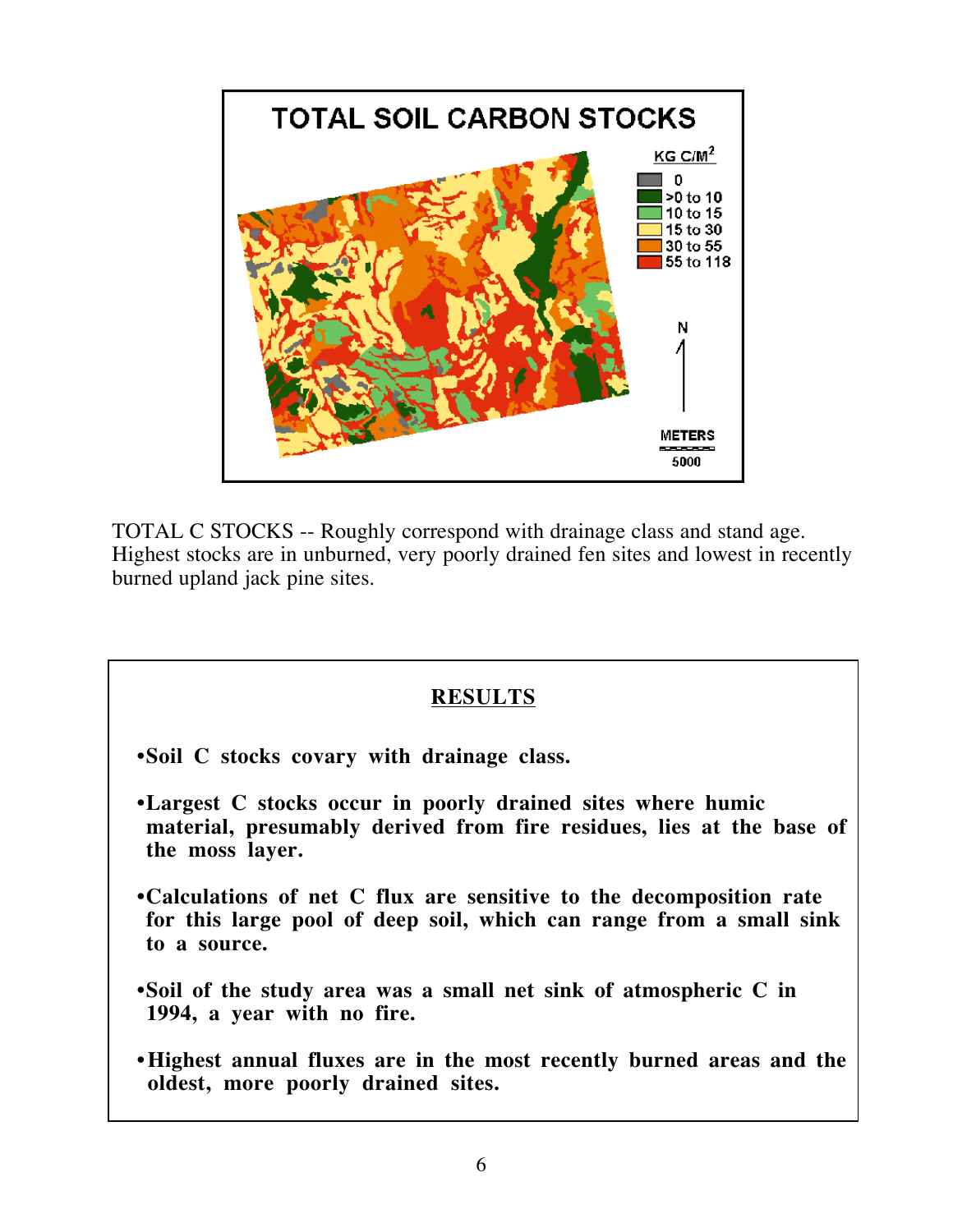

TOTAL C STOCKS -- Roughly correspond with drainage class and stand age. Highest stocks are in unburned, very poorly drained fen sites and lowest in recently burned upland jack pine sites.

#### **RESULTS**

 **•Soil C stocks covary with drainage class.**

- **•Largest C stocks occur in poorly drained sites where humic material, presumably derived from fire residues, lies at the base of the moss layer.**
- **•Calculations of net C flux are sensitive to the decomposition rate for this large pool of deep soil, which can range from a small sink to a source.**
- **•Soil of the study area was a small net sink of atmospheric C in 1994, a year with no fire.**
- **Highest annual fluxes are in the most recently burned areas and the oldest, more poorly drained sites.**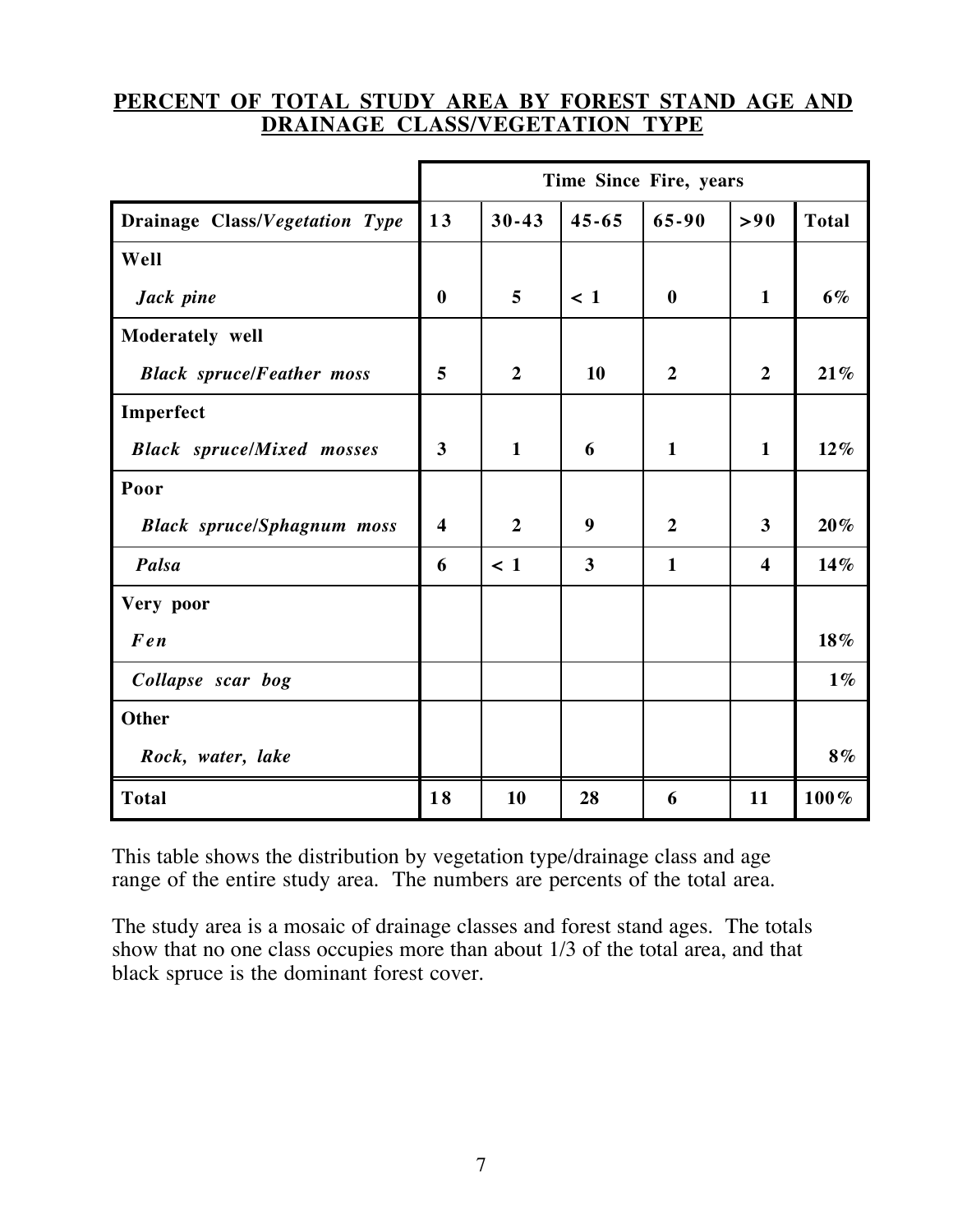#### **PERCENT OF TOTAL STUDY AREA BY FOREST STAND AGE AND DRAINAGE CLASS/VEGETATION TYPE**

|                                   | Time Since Fire, years  |                |           |                  |                         |              |
|-----------------------------------|-------------------------|----------------|-----------|------------------|-------------------------|--------------|
| Drainage Class/Vegetation Type    | 13                      | $30 - 43$      | $45 - 65$ | $65 - 90$        | > 90                    | <b>Total</b> |
| Well                              |                         |                |           |                  |                         |              |
| Jack pine                         | $\bf{0}$                | 5              | $\leq 1$  | $\boldsymbol{0}$ | $\mathbf{1}$            | 6%           |
| Moderately well                   |                         |                |           |                  |                         |              |
| <b>Black spruce/Feather moss</b>  | 5                       | $\overline{2}$ | 10        | $\overline{2}$   | $\overline{2}$          | 21%          |
| Imperfect                         |                         |                |           |                  |                         |              |
| <b>Black</b> spruce/Mixed mosses  | $\mathbf{3}$            | $\mathbf{1}$   | 6         | $\mathbf{1}$     | $\mathbf{1}$            | $12\%$       |
| Poor                              |                         |                |           |                  |                         |              |
| <b>Black spruce/Sphagnum moss</b> | $\overline{\mathbf{4}}$ | $\overline{2}$ | 9         | $\overline{2}$   | 3                       | $20\%$       |
| Palsa                             | 6                       | $\leq 1$       | 3         | $\mathbf{1}$     | $\overline{\mathbf{4}}$ | 14%          |
| Very poor                         |                         |                |           |                  |                         |              |
| Fen                               |                         |                |           |                  |                         | 18%          |
| Collapse scar bog                 |                         |                |           |                  |                         | $1\%$        |
| <b>Other</b>                      |                         |                |           |                  |                         |              |
| Rock, water, lake                 |                         |                |           |                  |                         | 8%           |
| <b>Total</b>                      | 18                      | 10             | 28        | 6                | 11                      | 100%         |

This table shows the distribution by vegetation type/drainage class and age range of the entire study area. The numbers are percents of the total area.

The study area is a mosaic of drainage classes and forest stand ages. The totals show that no one class occupies more than about 1/3 of the total area, and that black spruce is the dominant forest cover.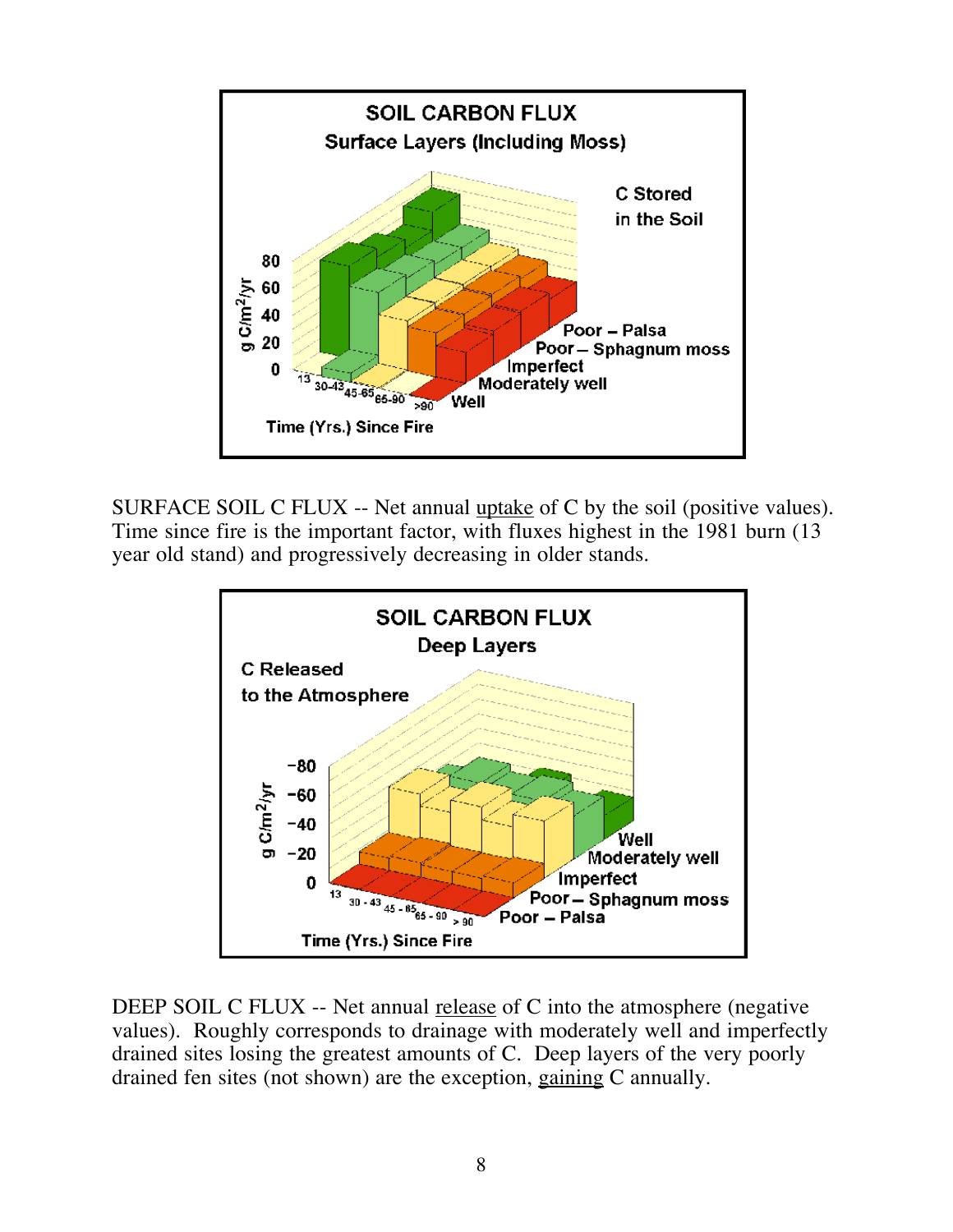

SURFACE SOIL C FLUX -- Net annual uptake of C by the soil (positive values). Time since fire is the important factor, with fluxes highest in the 1981 burn (13 year old stand) and progressively decreasing in older stands.



DEEP SOIL C FLUX -- Net annual release of C into the atmosphere (negative values). Roughly corresponds to drainage with moderately well and imperfectly drained sites losing the greatest amounts of C. Deep layers of the very poorly drained fen sites (not shown) are the exception, gaining C annually.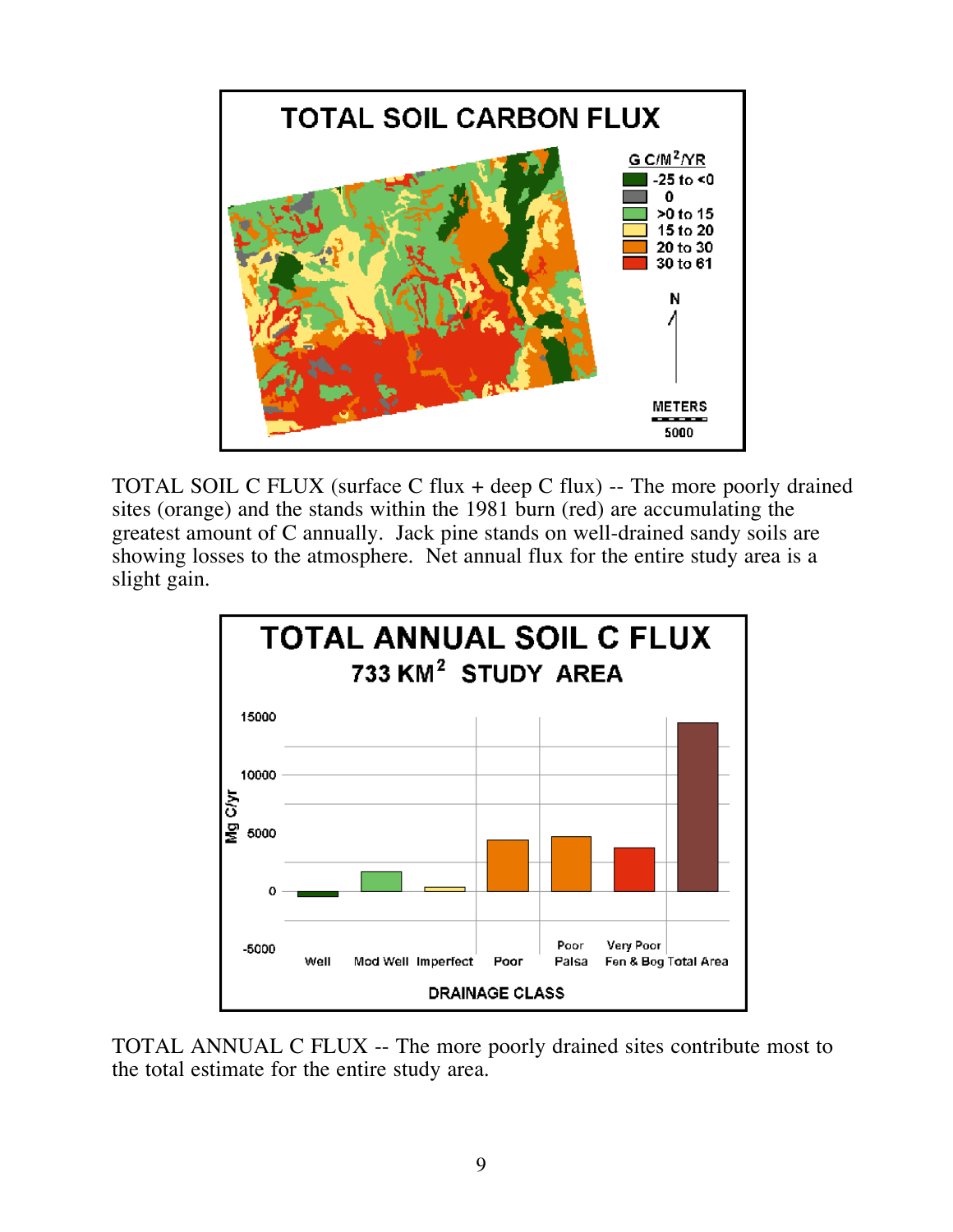

TOTAL SOIL C FLUX (surface C flux + deep C flux) -- The more poorly drained sites (orange) and the stands within the 1981 burn (red) are accumulating the greatest amount of C annually. Jack pine stands on well-drained sandy soils are showing losses to the atmosphere. Net annual flux for the entire study area is a slight gain.



TOTAL ANNUAL C FLUX -- The more poorly drained sites contribute most to the total estimate for the entire study area.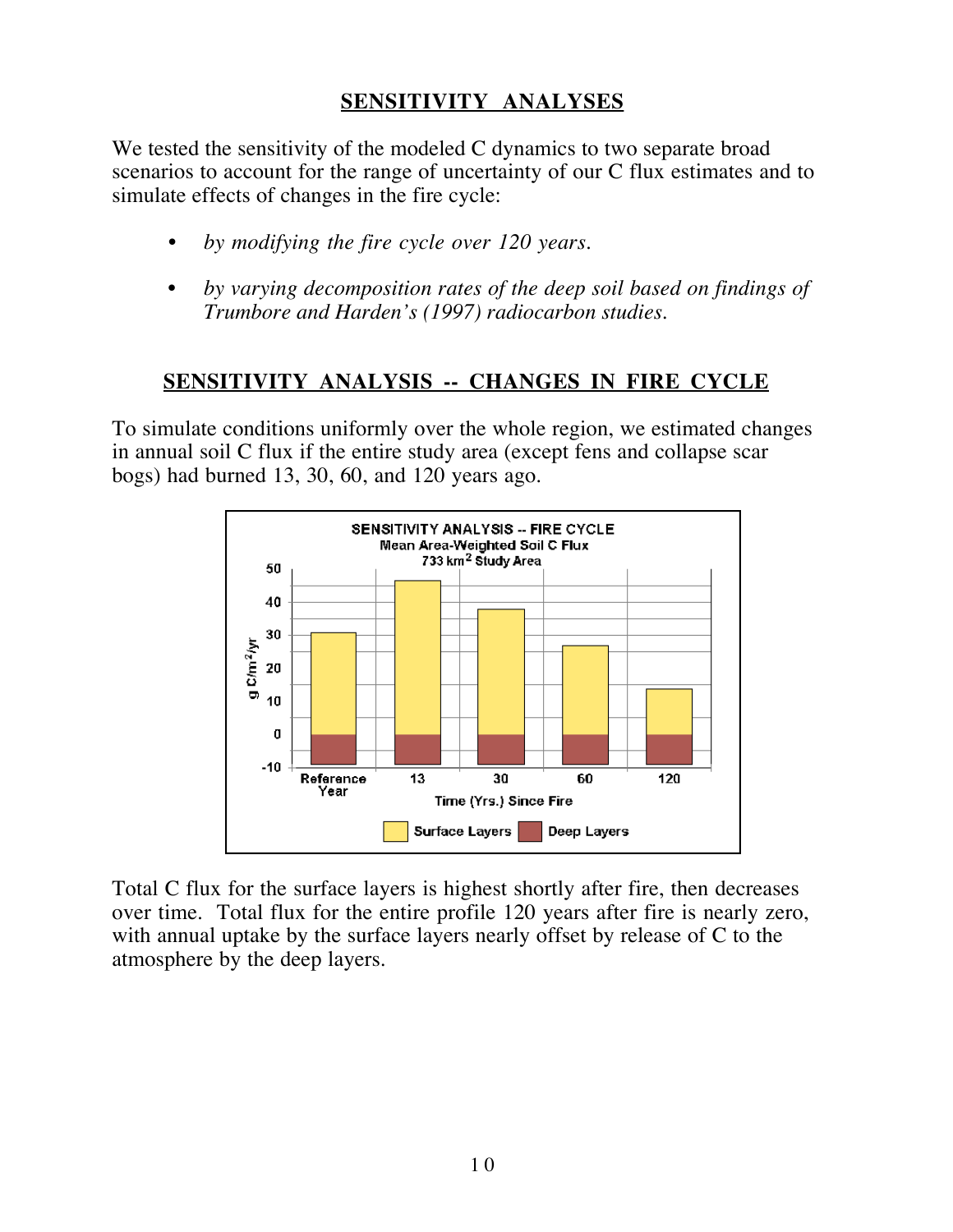# **SENSITIVITY ANALYSES**

We tested the sensitivity of the modeled C dynamics to two separate broad scenarios to account for the range of uncertainty of our C flux estimates and to simulate effects of changes in the fire cycle:

- *by modifying the fire cycle over 120 years.*
- *by varying decomposition rates of the deep soil based on findings of Trumbore and Harden's (1997) radiocarbon studies.*

#### **SENSITIVITY ANALYSIS -- CHANGES IN FIRE CYCLE**

To simulate conditions uniformly over the whole region, we estimated changes in annual soil C flux if the entire study area (except fens and collapse scar bogs) had burned 13, 30, 60, and 120 years ago.



Total C flux for the surface layers is highest shortly after fire, then decreases over time. Total flux for the entire profile 120 years after fire is nearly zero, with annual uptake by the surface layers nearly offset by release of C to the atmosphere by the deep layers.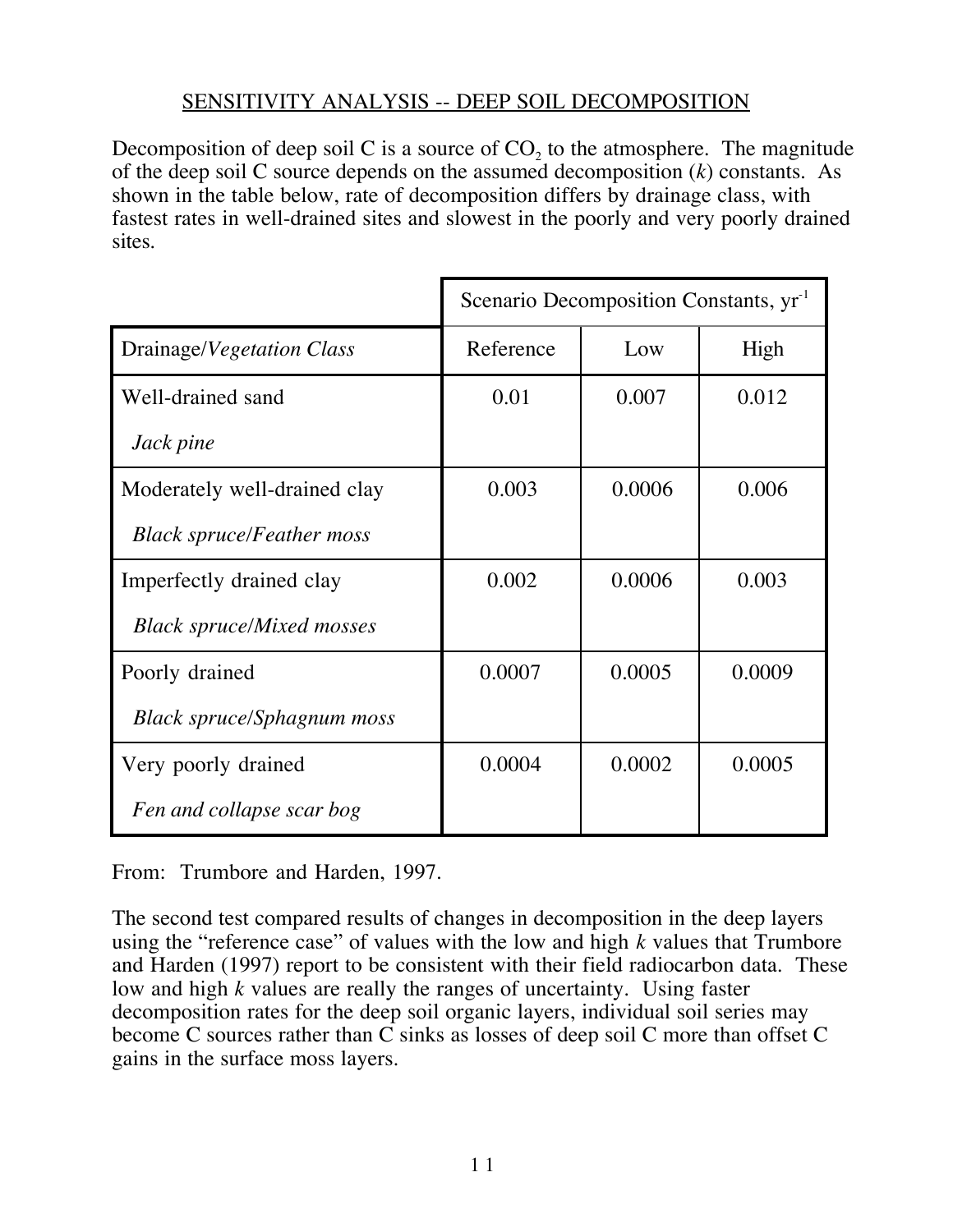## SENSITIVITY ANALYSIS -- DEEP SOIL DECOMPOSITION

Decomposition of deep soil C is a source of  $CO<sub>2</sub>$  to the atmosphere. The magnitude of the deep soil C source depends on the assumed decomposition (*k*) constants. As shown in the table below, rate of decomposition differs by drainage class, with fastest rates in well-drained sites and slowest in the poorly and very poorly drained sites.

|                                   | Scenario Decomposition Constants, yr <sup>-1</sup> |        |        |  |  |
|-----------------------------------|----------------------------------------------------|--------|--------|--|--|
| Drainage/Vegetation Class         | Reference                                          | Low    | High   |  |  |
| Well-drained sand                 | 0.01                                               | 0.007  | 0.012  |  |  |
| Jack pine                         |                                                    |        |        |  |  |
| Moderately well-drained clay      | 0.003                                              | 0.0006 | 0.006  |  |  |
| <b>Black spruce/Feather moss</b>  |                                                    |        |        |  |  |
| Imperfectly drained clay          | 0.002                                              | 0.0006 | 0.003  |  |  |
| <b>Black spruce/Mixed mosses</b>  |                                                    |        |        |  |  |
| Poorly drained                    | 0.0007                                             | 0.0005 | 0.0009 |  |  |
| <b>Black spruce/Sphagnum moss</b> |                                                    |        |        |  |  |
| Very poorly drained               | 0.0004                                             | 0.0002 | 0.0005 |  |  |
| Fen and collapse scar bog         |                                                    |        |        |  |  |

From: Trumbore and Harden, 1997.

The second test compared results of changes in decomposition in the deep layers using the "reference case" of values with the low and high *k* values that Trumbore and Harden (1997) report to be consistent with their field radiocarbon data. These low and high *k* values are really the ranges of uncertainty. Using faster decomposition rates for the deep soil organic layers, individual soil series may become C sources rather than C sinks as losses of deep soil C more than offset C gains in the surface moss layers.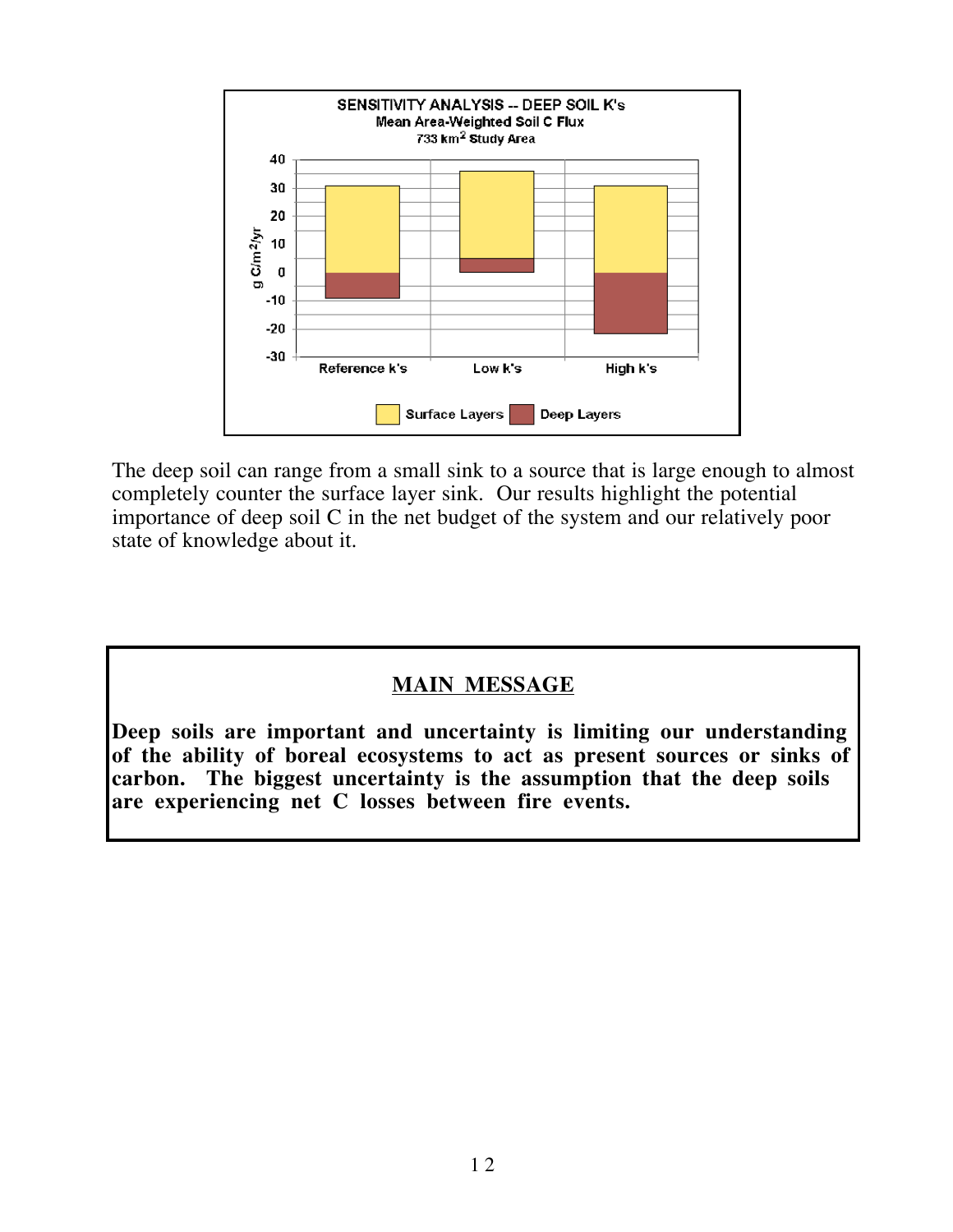

The deep soil can range from a small sink to a source that is large enough to almost completely counter the surface layer sink. Our results highlight the potential importance of deep soil C in the net budget of the system and our relatively poor state of knowledge about it.

#### **MAIN MESSAGE**

**Deep soils are important and uncertainty is limiting our understanding of the ability of boreal ecosystems to act as present sources or sinks of carbon. The biggest uncertainty is the assumption that the deep soils are experiencing net C losses between fire events.**